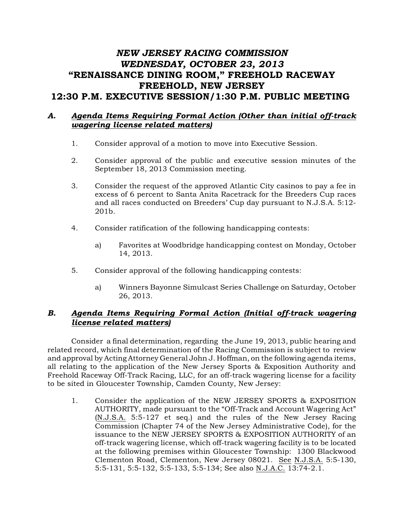# *NEW JERSEY RACING COMMISSION WEDNESDAY, OCTOBER 23, 2013* "RENAISSANCE DINING ROOM," FREEHOLD RACEWAY FREEHOLD, NEW JERSEY 12:30 P.M. EXECUTIVE SESSION/1:30 P.M. PUBLIC MEETING

### *A. Agenda Items Requiring Formal Action (Other than initial off-track wagering license related matters)*

- 1. Consider approval of a motion to move into Executive Session.
- 2. Consider approval of the public and executive session minutes of the September 18, 2013 Commission meeting.
- 3. Consider the request of the approved Atlantic City casinos to pay a fee in excess of 6 percent to Santa Anita Racetrack for the Breeders Cup races and all races conducted on Breeders' Cup day pursuant to N.J.S.A. 5:12- 201b.
- 4. Consider ratification of the following handicapping contests:
	- a) Favorites at Woodbridge handicapping contest on Monday, October 14, 2013.
- 5. Consider approval of the following handicapping contests:
	- a) Winners Bayonne Simulcast Series Challenge on Saturday, October 26, 2013.

## *B. Agenda Items Requiring Formal Action (Initial off-track wagering license related matters)*

Consider a final determination, regarding the June 19, 2013, public hearing and related record, which final determination of the Racing Commission is subject to review and approval by Acting Attorney General John J. Hoffman, on the following agenda items, all relating to the application of the New Jersey Sports & Exposition Authority and Freehold Raceway Off-Track Racing, LLC, for an off-track wagering license for a facility to be sited in Gloucester Township, Camden County, New Jersey:

1. Consider the application of the NEW JERSEY SPORTS & EXPOSITION AUTHORITY, made pursuant to the "Off-Track and Account Wagering Act" (N.J.S.A. 5:5-127 et seq.) and the rules of the New Jersey Racing Commission (Chapter 74 of the New Jersey Administrative Code), for the issuance to the NEW JERSEY SPORTS & EXPOSITION AUTHORITY of an off-track wagering license, which off-track wagering facility is to be located at the following premises within Gloucester Township: 1300 Blackwood Clementon Road, Clementon, New Jersey 08021. See N.J.S.A. 5:5-130, 5:5-131, 5:5-132, 5:5-133, 5:5-134; See also N.J.A.C. 13:74-2.1.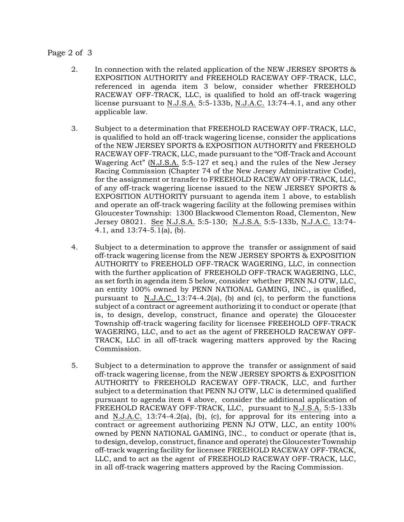#### Page 2 of 3

- 2. In connection with the related application of the NEW JERSEY SPORTS & EXPOSITION AUTHORITY and FREEHOLD RACEWAY OFF-TRACK, LLC, referenced in agenda item 3 below, consider whether FREEHOLD RACEWAY OFF-TRACK, LLC, is qualified to hold an off-track wagering license pursuant to N.J.S.A. 5:5-133b, N.J.A.C. 13:74-4.1, and any other applicable law.
- 3. Subject to a determination that FREEHOLD RACEWAY OFF-TRACK, LLC, is qualified to hold an off-track wagering license, consider the applications of the NEW JERSEY SPORTS & EXPOSITION AUTHORITY and FREEHOLD RACEWAY OFF-TRACK, LLC, made pursuant to the "Off-Track and Account Wagering Act" (N.J.S.A. 5:5-127 et seq.) and the rules of the New Jersey Racing Commission (Chapter 74 of the New Jersey Administrative Code), for the assignment or transfer to FREEHOLD RACEWAY OFF-TRACK, LLC, of any off-track wagering license issued to the NEW JERSEY SPORTS & EXPOSITION AUTHORITY pursuant to agenda item 1 above, to establish and operate an off-track wagering facility at the following premises within Gloucester Township: 1300 Blackwood Clementon Road, Clementon, New Jersey 08021. See N.J.S.A. 5:5-130; N.J.S.A. 5:5-133b, N.J.A.C. 13:74- 4.1, and 13:74-5.1(a), (b).
- 4. Subject to a determination to approve the transfer or assignment of said off-track wagering license from the NEW JERSEY SPORTS & EXPOSITION AUTHORITY to FREEHOLD OFF-TRACK WAGERING, LLC, in connection with the further application of FREEHOLD OFF-TRACK WAGERING, LLC, as set forth in agenda item 5 below, consider whether PENN NJ OTW, LLC, an entity 100% owned by PENN NATIONAL GAMING, INC., is qualified, pursuant to N.J.A.C. 13:74-4.2(a), (b) and (c), to perform the functions subject of a contract or agreement authorizing it to conduct or operate (that is, to design, develop, construct, finance and operate) the Gloucester Township off-track wagering facility for licensee FREEHOLD OFF-TRACK WAGERING, LLC, and to act as the agent of FREEHOLD RACEWAY OFF-TRACK, LLC in all off-track wagering matters approved by the Racing Commission.
- 5. Subject to a determination to approve the transfer or assignment of said off-track wagering license, from the NEW JERSEY SPORTS & EXPOSITION AUTHORITY to FREEHOLD RACEWAY OFF-TRACK, LLC, and further subject to a determination that PENN NJ OTW, LLC is determined qualified pursuant to agenda item 4 above, consider the additional application of FREEHOLD RACEWAY OFF-TRACK, LLC, pursuant to N.J.S.A. 5:5-133b and N.J.A.C. 13:74-4.2(a), (b), (c), for approval for its entering into a contract or agreement authorizing PENN NJ OTW, LLC, an entity 100% owned by PENN NATIONAL GAMING, INC., to conduct or operate (that is, to design, develop, construct, finance and operate) the Gloucester Township off-track wagering facility for licensee FREEHOLD RACEWAY OFF-TRACK, LLC, and to act as the agent of FREEHOLD RACEWAY OFF-TRACK, LLC, in all off-track wagering matters approved by the Racing Commission.